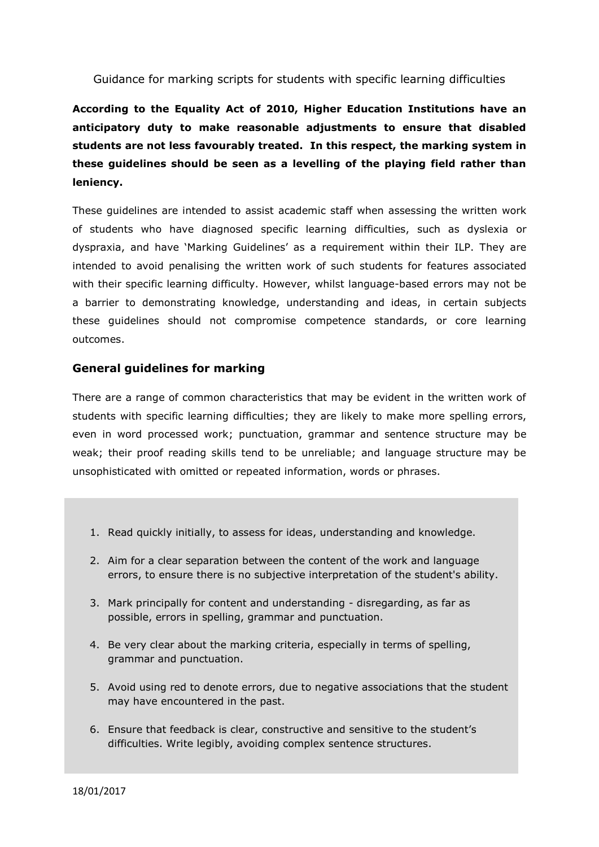Guidance for marking scripts for students with specific learning difficulties

# **According to the Equality Act of 2010, Higher Education Institutions have an anticipatory duty to make reasonable adjustments to ensure that disabled students are not less favourably treated. In this respect, the marking system in these guidelines should be seen as a levelling of the playing field rather than leniency.**

These guidelines are intended to assist academic staff when assessing the written work of students who have diagnosed specific learning difficulties, such as dyslexia or dyspraxia, and have 'Marking Guidelines' as a requirement within their ILP. They are intended to avoid penalising the written work of such students for features associated with their specific learning difficulty. However, whilst language-based errors may not be a barrier to demonstrating knowledge, understanding and ideas, in certain subjects these guidelines should not compromise competence standards, or core learning outcomes.

### **General guidelines for marking**

There are a range of common characteristics that may be evident in the written work of students with specific learning difficulties; they are likely to make more spelling errors, even in word processed work; punctuation, grammar and sentence structure may be weak; their proof reading skills tend to be unreliable; and language structure may be unsophisticated with omitted or repeated information, words or phrases.

- 1. Read quickly initially, to assess for ideas, understanding and knowledge.
- 2. Aim for a clear separation between the content of the work and language errors, to ensure there is no subjective interpretation of the student's ability.
- 3. Mark principally for content and understanding disregarding, as far as possible, errors in spelling, grammar and punctuation.
- 4. Be very clear about the marking criteria, especially in terms of spelling, grammar and punctuation.
- 5. Avoid using red to denote errors, due to negative associations that the student may have encountered in the past.
- 6. Ensure that feedback is clear, constructive and sensitive to the student's difficulties. Write legibly, avoiding complex sentence structures.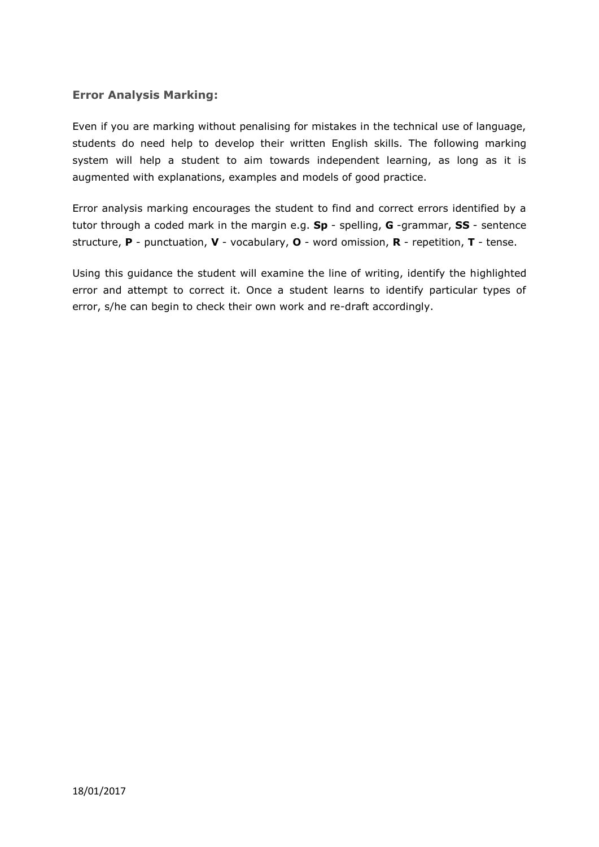### **Error Analysis Marking:**

Even if you are marking without penalising for mistakes in the technical use of language, students do need help to develop their written English skills. The following marking system will help a student to aim towards independent learning, as long as it is augmented with explanations, examples and models of good practice.

Error analysis marking encourages the student to find and correct errors identified by a tutor through a coded mark in the margin e.g. **Sp** - spelling, **G** -grammar, **SS** - sentence structure, **P** - punctuation, **V** - vocabulary, **O** - word omission, **R** - repetition, **T** - tense.

Using this guidance the student will examine the line of writing, identify the highlighted error and attempt to correct it. Once a student learns to identify particular types of error, s/he can begin to check their own work and re-draft accordingly.